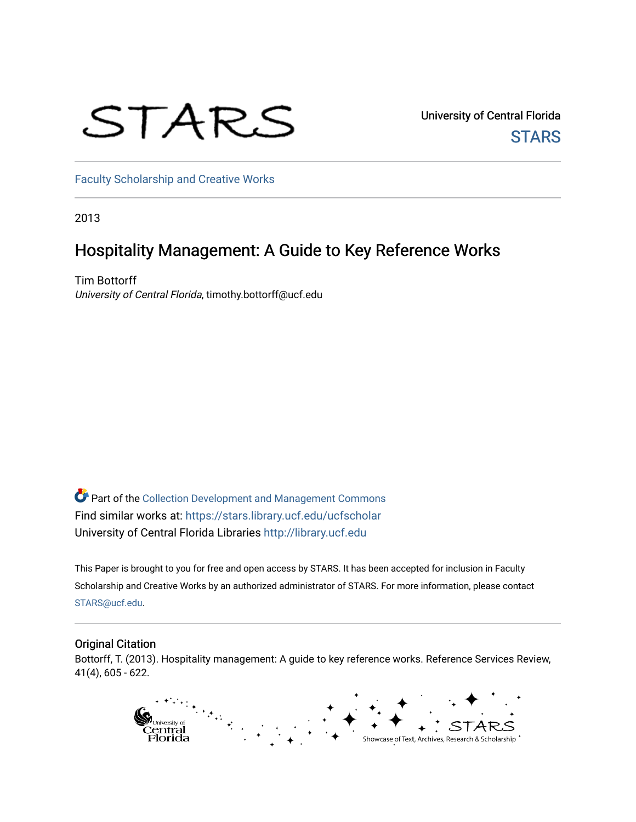# STARS

University of Central Florida **STARS** 

[Faculty Scholarship and Creative Works](https://stars.library.ucf.edu/ucfscholar) 

2013

# Hospitality Management: A Guide to Key Reference Works

Tim Bottorff University of Central Florida, timothy.bottorff@ucf.edu

Part of the [Collection Development and Management Commons](http://network.bepress.com/hgg/discipline/1271?utm_source=stars.library.ucf.edu%2Fucfscholar%2F7&utm_medium=PDF&utm_campaign=PDFCoverPages)  Find similar works at: <https://stars.library.ucf.edu/ucfscholar> University of Central Florida Libraries [http://library.ucf.edu](http://library.ucf.edu/) 

This Paper is brought to you for free and open access by STARS. It has been accepted for inclusion in Faculty Scholarship and Creative Works by an authorized administrator of STARS. For more information, please contact [STARS@ucf.edu](mailto:STARS@ucf.edu).

#### Original Citation

Bottorff, T. (2013). Hospitality management: A guide to key reference works. Reference Services Review, 41(4), 605 - 622.

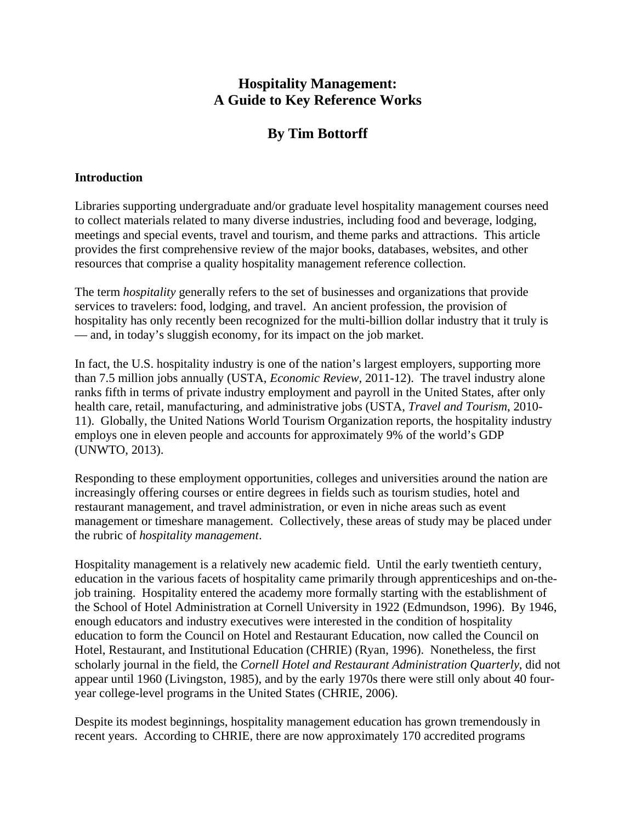# **Hospitality Management: A Guide to Key Reference Works**

# **By Tim Bottorff**

# **Introduction**

Libraries supporting undergraduate and/or graduate level hospitality management courses need to collect materials related to many diverse industries, including food and beverage, lodging, meetings and special events, travel and tourism, and theme parks and attractions. This article provides the first comprehensive review of the major books, databases, websites, and other resources that comprise a quality hospitality management reference collection.

The term *hospitality* generally refers to the set of businesses and organizations that provide services to travelers: food, lodging, and travel. An ancient profession, the provision of hospitality has only recently been recognized for the multi-billion dollar industry that it truly is — and, in today's sluggish economy, for its impact on the job market.

In fact, the U.S. hospitality industry is one of the nation's largest employers, supporting more than 7.5 million jobs annually (USTA, *Economic Review,* 2011-12). The travel industry alone ranks fifth in terms of private industry employment and payroll in the United States, after only health care, retail, manufacturing, and administrative jobs (USTA, *Travel and Tourism*, 2010- 11). Globally, the United Nations World Tourism Organization reports, the hospitality industry employs one in eleven people and accounts for approximately 9% of the world's GDP (UNWTO, 2013).

Responding to these employment opportunities, colleges and universities around the nation are increasingly offering courses or entire degrees in fields such as tourism studies, hotel and restaurant management, and travel administration, or even in niche areas such as event management or timeshare management. Collectively, these areas of study may be placed under the rubric of *hospitality management*.

Hospitality management is a relatively new academic field. Until the early twentieth century, education in the various facets of hospitality came primarily through apprenticeships and on-thejob training. Hospitality entered the academy more formally starting with the establishment of the School of Hotel Administration at Cornell University in 1922 (Edmundson, 1996). By 1946, enough educators and industry executives were interested in the condition of hospitality education to form the Council on Hotel and Restaurant Education, now called the Council on Hotel, Restaurant, and Institutional Education (CHRIE) (Ryan, 1996). Nonetheless, the first scholarly journal in the field, the *Cornell Hotel and Restaurant Administration Quarterly*, did not appear until 1960 (Livingston, 1985), and by the early 1970s there were still only about 40 fouryear college-level programs in the United States (CHRIE, 2006).

Despite its modest beginnings, hospitality management education has grown tremendously in recent years. According to CHRIE, there are now approximately 170 accredited programs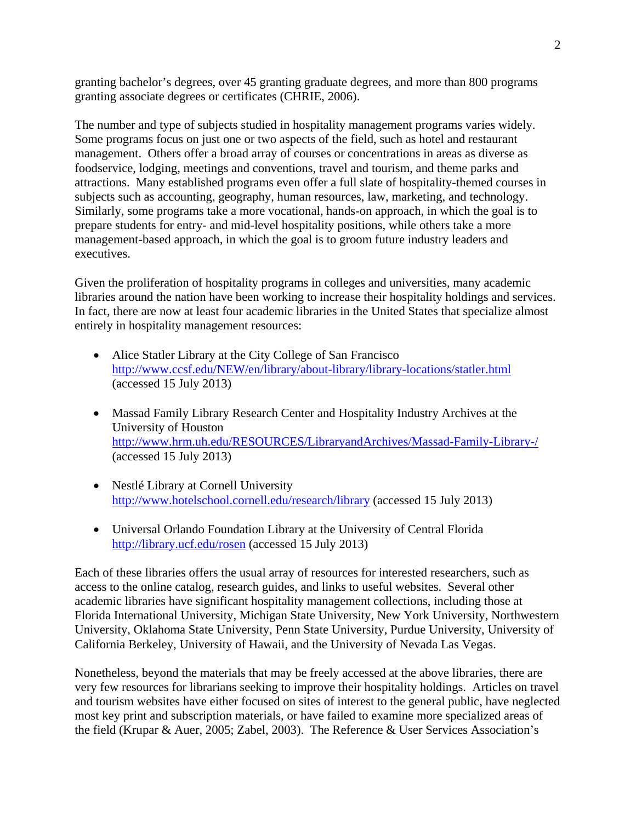granting bachelor's degrees, over 45 granting graduate degrees, and more than 800 programs granting associate degrees or certificates (CHRIE, 2006).

The number and type of subjects studied in hospitality management programs varies widely. Some programs focus on just one or two aspects of the field, such as hotel and restaurant management. Others offer a broad array of courses or concentrations in areas as diverse as foodservice, lodging, meetings and conventions, travel and tourism, and theme parks and attractions. Many established programs even offer a full slate of hospitality-themed courses in subjects such as accounting, geography, human resources, law, marketing, and technology. Similarly, some programs take a more vocational, hands-on approach, in which the goal is to prepare students for entry- and mid-level hospitality positions, while others take a more management-based approach, in which the goal is to groom future industry leaders and executives.

Given the proliferation of hospitality programs in colleges and universities, many academic libraries around the nation have been working to increase their hospitality holdings and services. In fact, there are now at least four academic libraries in the United States that specialize almost entirely in hospitality management resources:

- Alice Statler Library at the City College of San Francisco http://www.ccsf.edu/NEW/en/library/about-library/library-locations/statler.html (accessed 15 July 2013)
- Massad Family Library Research Center and Hospitality Industry Archives at the University of Houston http://www.hrm.uh.edu/RESOURCES/LibraryandArchives/Massad-Family-Library-/ (accessed 15 July 2013)
- Nestlé Library at Cornell University http://www.hotelschool.cornell.edu/research/library (accessed 15 July 2013)
- Universal Orlando Foundation Library at the University of Central Florida http://library.ucf.edu/rosen (accessed 15 July 2013)

Each of these libraries offers the usual array of resources for interested researchers, such as access to the online catalog, research guides, and links to useful websites. Several other academic libraries have significant hospitality management collections, including those at Florida International University, Michigan State University, New York University, Northwestern University, Oklahoma State University, Penn State University, Purdue University, University of California Berkeley, University of Hawaii, and the University of Nevada Las Vegas.

Nonetheless, beyond the materials that may be freely accessed at the above libraries, there are very few resources for librarians seeking to improve their hospitality holdings. Articles on travel and tourism websites have either focused on sites of interest to the general public, have neglected most key print and subscription materials, or have failed to examine more specialized areas of the field (Krupar & Auer, 2005; Zabel, 2003). The Reference & User Services Association's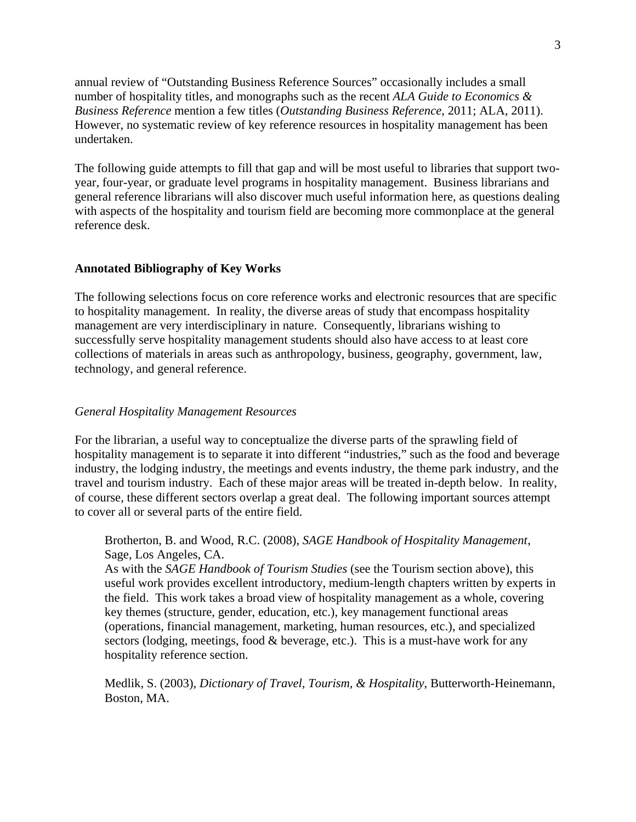annual review of "Outstanding Business Reference Sources" occasionally includes a small number of hospitality titles, and monographs such as the recent *ALA Guide to Economics & Business Reference* mention a few titles (*Outstanding Business Reference*, 2011; ALA, 2011). However, no systematic review of key reference resources in hospitality management has been undertaken.

The following guide attempts to fill that gap and will be most useful to libraries that support twoyear, four-year, or graduate level programs in hospitality management. Business librarians and general reference librarians will also discover much useful information here, as questions dealing with aspects of the hospitality and tourism field are becoming more commonplace at the general reference desk.

#### **Annotated Bibliography of Key Works**

The following selections focus on core reference works and electronic resources that are specific to hospitality management. In reality, the diverse areas of study that encompass hospitality management are very interdisciplinary in nature. Consequently, librarians wishing to successfully serve hospitality management students should also have access to at least core collections of materials in areas such as anthropology, business, geography, government, law, technology, and general reference.

#### *General Hospitality Management Resources*

For the librarian, a useful way to conceptualize the diverse parts of the sprawling field of hospitality management is to separate it into different "industries," such as the food and beverage industry, the lodging industry, the meetings and events industry, the theme park industry, and the travel and tourism industry. Each of these major areas will be treated in-depth below. In reality, of course, these different sectors overlap a great deal. The following important sources attempt to cover all or several parts of the entire field.

Brotherton, B. and Wood, R.C. (2008), *SAGE Handbook of Hospitality Management*, Sage, Los Angeles, CA.

As with the *SAGE Handbook of Tourism Studies* (see the Tourism section above), this useful work provides excellent introductory, medium-length chapters written by experts in the field. This work takes a broad view of hospitality management as a whole, covering key themes (structure, gender, education, etc.), key management functional areas (operations, financial management, marketing, human resources, etc.), and specialized sectors (lodging, meetings, food & beverage, etc.). This is a must-have work for any hospitality reference section.

Medlik, S. (2003), *Dictionary of Travel, Tourism, & Hospitality*, Butterworth-Heinemann, Boston, MA.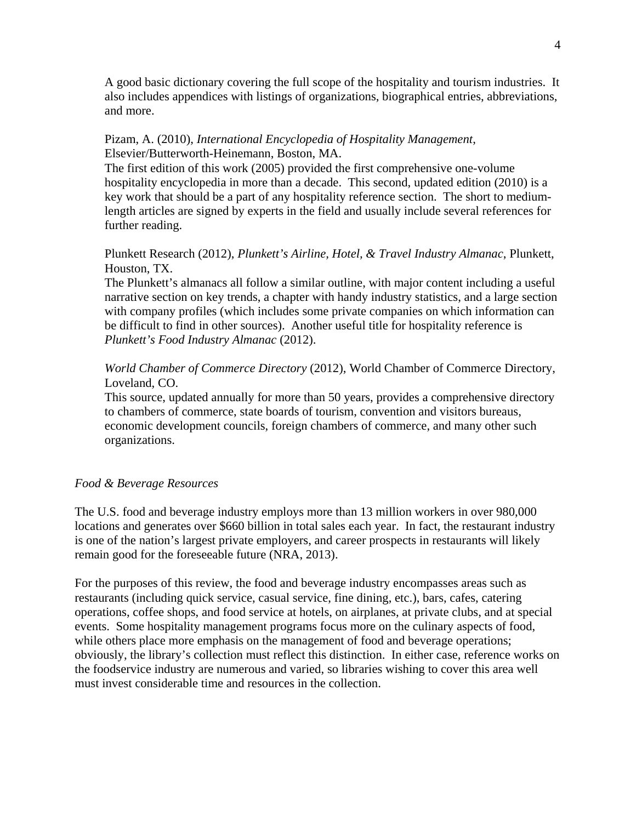A good basic dictionary covering the full scope of the hospitality and tourism industries. It also includes appendices with listings of organizations, biographical entries, abbreviations, and more.

## Pizam, A. (2010), *International Encyclopedia of Hospitality Management*, Elsevier/Butterworth-Heinemann, Boston, MA.

The first edition of this work (2005) provided the first comprehensive one-volume hospitality encyclopedia in more than a decade. This second, updated edition (2010) is a key work that should be a part of any hospitality reference section. The short to mediumlength articles are signed by experts in the field and usually include several references for further reading.

# Plunkett Research (2012), *Plunkett's Airline, Hotel, & Travel Industry Almanac*, Plunkett, Houston, TX.

The Plunkett's almanacs all follow a similar outline, with major content including a useful narrative section on key trends, a chapter with handy industry statistics, and a large section with company profiles (which includes some private companies on which information can be difficult to find in other sources). Another useful title for hospitality reference is *Plunkett's Food Industry Almanac* (2012).

*World Chamber of Commerce Directory* (2012), World Chamber of Commerce Directory, Loveland, CO.

This source, updated annually for more than 50 years, provides a comprehensive directory to chambers of commerce, state boards of tourism, convention and visitors bureaus, economic development councils, foreign chambers of commerce, and many other such organizations.

## *Food & Beverage Resources*

The U.S. food and beverage industry employs more than 13 million workers in over 980,000 locations and generates over \$660 billion in total sales each year. In fact, the restaurant industry is one of the nation's largest private employers, and career prospects in restaurants will likely remain good for the foreseeable future (NRA, 2013).

For the purposes of this review, the food and beverage industry encompasses areas such as restaurants (including quick service, casual service, fine dining, etc.), bars, cafes, catering operations, coffee shops, and food service at hotels, on airplanes, at private clubs, and at special events. Some hospitality management programs focus more on the culinary aspects of food, while others place more emphasis on the management of food and beverage operations; obviously, the library's collection must reflect this distinction. In either case, reference works on the foodservice industry are numerous and varied, so libraries wishing to cover this area well must invest considerable time and resources in the collection.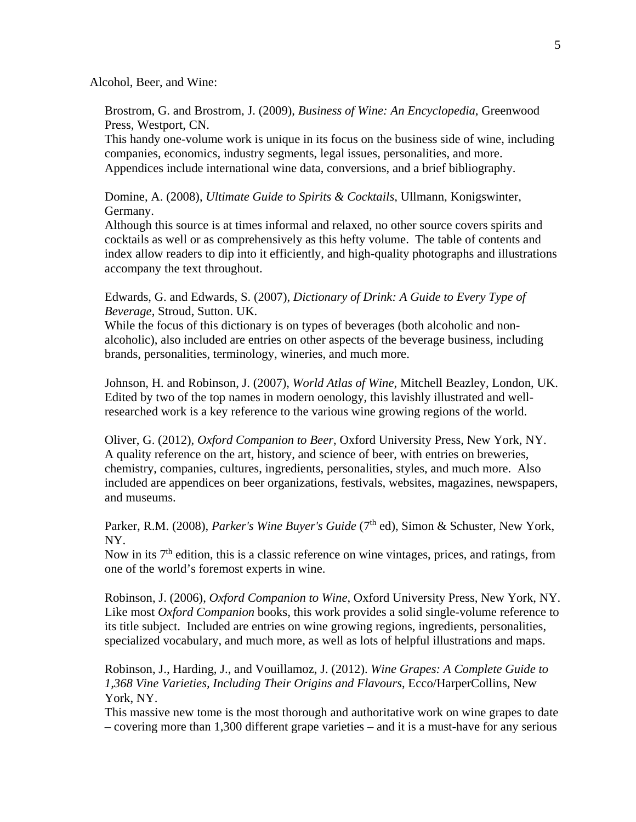Alcohol, Beer, and Wine:

Brostrom, G. and Brostrom, J. (2009), *Business of Wine: An Encyclopedia*, Greenwood Press, Westport, CN.

This handy one-volume work is unique in its focus on the business side of wine, including companies, economics, industry segments, legal issues, personalities, and more. Appendices include international wine data, conversions, and a brief bibliography.

Domine, A. (2008), *Ultimate Guide to Spirits & Cocktails*, Ullmann, Konigswinter, Germany.

Although this source is at times informal and relaxed, no other source covers spirits and cocktails as well or as comprehensively as this hefty volume. The table of contents and index allow readers to dip into it efficiently, and high-quality photographs and illustrations accompany the text throughout.

Edwards, G. and Edwards, S. (2007), *Dictionary of Drink: A Guide to Every Type of Beverage*, Stroud, Sutton. UK.

While the focus of this dictionary is on types of beverages (both alcoholic and nonalcoholic), also included are entries on other aspects of the beverage business, including brands, personalities, terminology, wineries, and much more.

Johnson, H. and Robinson, J. (2007), *World Atlas of Wine*, Mitchell Beazley, London, UK. Edited by two of the top names in modern oenology, this lavishly illustrated and wellresearched work is a key reference to the various wine growing regions of the world.

Oliver, G. (2012), *Oxford Companion to Beer*, Oxford University Press, New York, NY. A quality reference on the art, history, and science of beer, with entries on breweries, chemistry, companies, cultures, ingredients, personalities, styles, and much more. Also included are appendices on beer organizations, festivals, websites, magazines, newspapers, and museums.

Parker, R.M. (2008), *Parker's Wine Buyer's Guide* (7<sup>th</sup> ed), Simon & Schuster, New York, NY.

Now in its  $7<sup>th</sup>$  edition, this is a classic reference on wine vintages, prices, and ratings, from one of the world's foremost experts in wine.

Robinson, J. (2006), *Oxford Companion to Wine*, Oxford University Press, New York, NY. Like most *Oxford Companion* books, this work provides a solid single-volume reference to its title subject. Included are entries on wine growing regions, ingredients, personalities, specialized vocabulary, and much more, as well as lots of helpful illustrations and maps.

Robinson, J., Harding, J., and Vouillamoz, J. (2012). *Wine Grapes: A Complete Guide to 1,368 Vine Varieties, Including Their Origins and Flavours*, Ecco/HarperCollins, New York, NY.

This massive new tome is the most thorough and authoritative work on wine grapes to date – covering more than 1,300 different grape varieties – and it is a must-have for any serious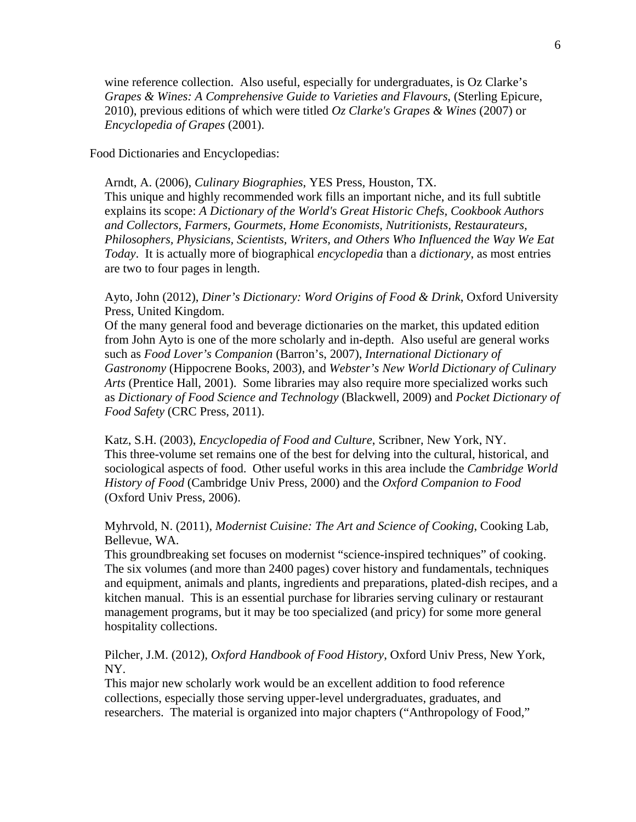wine reference collection. Also useful, especially for undergraduates, is Oz Clarke's *Grapes & Wines: A Comprehensive Guide to Varieties and Flavours*, (Sterling Epicure, 2010), previous editions of which were titled *Oz Clarke's Grapes & Wines* (2007) or *Encyclopedia of Grapes* (2001).

Food Dictionaries and Encyclopedias:

Arndt, A. (2006), *Culinary Biographies*, YES Press, Houston, TX. This unique and highly recommended work fills an important niche, and its full subtitle explains its scope: *A Dictionary of the World's Great Historic Chefs, Cookbook Authors and Collectors, Farmers, Gourmets, Home Economists, Nutritionists, Restaurateurs, Philosophers, Physicians, Scientists, Writers, and Others Who Influenced the Way We Eat Today*. It is actually more of biographical *encyclopedia* than a *dictionary*, as most entries are two to four pages in length.

Ayto, John (2012), *Diner's Dictionary: Word Origins of Food & Drink*, Oxford University Press, United Kingdom.

Of the many general food and beverage dictionaries on the market, this updated edition from John Ayto is one of the more scholarly and in-depth. Also useful are general works such as *Food Lover's Companion* (Barron's, 2007), *International Dictionary of Gastronomy* (Hippocrene Books, 2003), and *Webster's New World Dictionary of Culinary Arts* (Prentice Hall, 2001). Some libraries may also require more specialized works such as *Dictionary of Food Science and Technology* (Blackwell, 2009) and *Pocket Dictionary of Food Safety* (CRC Press, 2011).

Katz, S.H. (2003), *Encyclopedia of Food and Culture*, Scribner, New York, NY. This three-volume set remains one of the best for delving into the cultural, historical, and sociological aspects of food. Other useful works in this area include the *Cambridge World History of Food* (Cambridge Univ Press, 2000) and the *Oxford Companion to Food* (Oxford Univ Press, 2006).

Myhrvold, N. (2011), *Modernist Cuisine: The Art and Science of Cooking*, Cooking Lab, Bellevue, WA.

This groundbreaking set focuses on modernist "science-inspired techniques" of cooking. The six volumes (and more than 2400 pages) cover history and fundamentals, techniques and equipment, animals and plants, ingredients and preparations, plated-dish recipes, and a kitchen manual. This is an essential purchase for libraries serving culinary or restaurant management programs, but it may be too specialized (and pricy) for some more general hospitality collections.

Pilcher, J.M. (2012), *Oxford Handbook of Food History*, Oxford Univ Press, New York, NY.

This major new scholarly work would be an excellent addition to food reference collections, especially those serving upper-level undergraduates, graduates, and researchers. The material is organized into major chapters ("Anthropology of Food,"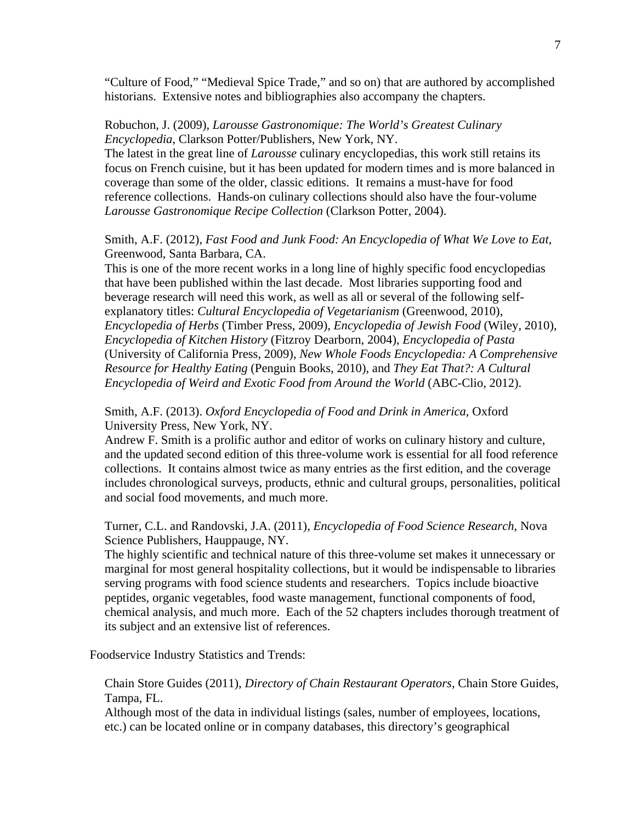"Culture of Food," "Medieval Spice Trade," and so on) that are authored by accomplished historians. Extensive notes and bibliographies also accompany the chapters.

#### Robuchon, J. (2009), *Larousse Gastronomique: The World's Greatest Culinary Encyclopedia*, Clarkson Potter/Publishers, New York, NY.

The latest in the great line of *Larousse* culinary encyclopedias, this work still retains its focus on French cuisine, but it has been updated for modern times and is more balanced in coverage than some of the older, classic editions. It remains a must-have for food reference collections. Hands-on culinary collections should also have the four-volume *Larousse Gastronomique Recipe Collection* (Clarkson Potter, 2004).

# Smith, A.F. (2012), *Fast Food and Junk Food: An Encyclopedia of What We Love to Eat*, Greenwood, Santa Barbara, CA.

This is one of the more recent works in a long line of highly specific food encyclopedias that have been published within the last decade. Most libraries supporting food and beverage research will need this work, as well as all or several of the following selfexplanatory titles: *Cultural Encyclopedia of Vegetarianism* (Greenwood, 2010), *Encyclopedia of Herbs* (Timber Press, 2009), *Encyclopedia of Jewish Food* (Wiley, 2010), *Encyclopedia of Kitchen History* (Fitzroy Dearborn, 2004), *Encyclopedia of Pasta* (University of California Press, 2009), *New Whole Foods Encyclopedia: A Comprehensive Resource for Healthy Eating* (Penguin Books, 2010), and *They Eat That?: A Cultural Encyclopedia of Weird and Exotic Food from Around the World* (ABC-Clio, 2012).

# Smith, A.F. (2013). *Oxford Encyclopedia of Food and Drink in America*, Oxford University Press, New York, NY.

Andrew F. Smith is a prolific author and editor of works on culinary history and culture, and the updated second edition of this three-volume work is essential for all food reference collections. It contains almost twice as many entries as the first edition, and the coverage includes chronological surveys, products, ethnic and cultural groups, personalities, political and social food movements, and much more.

#### Turner, C.L. and Randovski, J.A. (2011), *Encyclopedia of Food Science Research*, Nova Science Publishers, Hauppauge, NY.

The highly scientific and technical nature of this three-volume set makes it unnecessary or marginal for most general hospitality collections, but it would be indispensable to libraries serving programs with food science students and researchers. Topics include bioactive peptides, organic vegetables, food waste management, functional components of food, chemical analysis, and much more. Each of the 52 chapters includes thorough treatment of its subject and an extensive list of references.

Foodservice Industry Statistics and Trends:

#### Chain Store Guides (2011), *Directory of Chain Restaurant Operators*, Chain Store Guides, Tampa, FL.

Although most of the data in individual listings (sales, number of employees, locations, etc.) can be located online or in company databases, this directory's geographical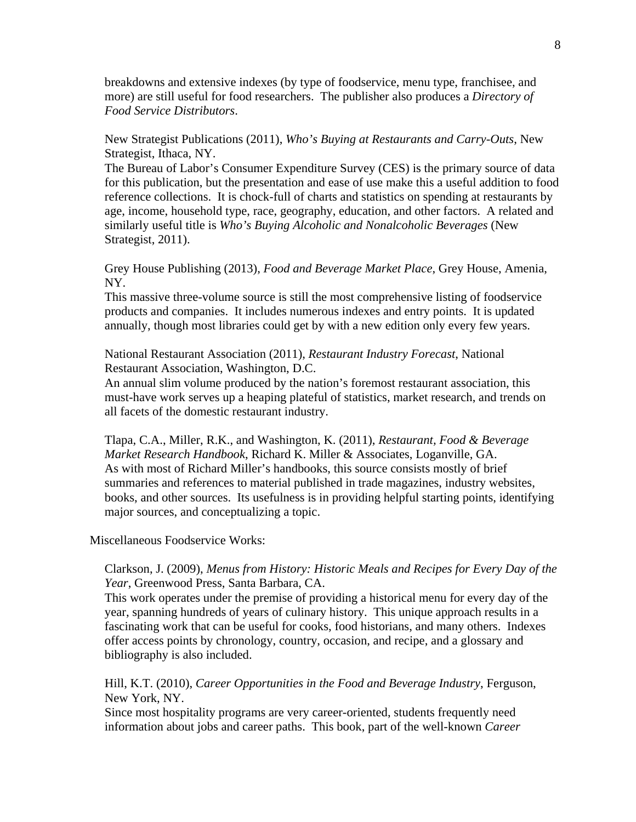breakdowns and extensive indexes (by type of foodservice, menu type, franchisee, and more) are still useful for food researchers. The publisher also produces a *Directory of Food Service Distributors*.

New Strategist Publications (2011), *Who's Buying at Restaurants and Carry-Outs*, New Strategist, Ithaca, NY.

The Bureau of Labor's Consumer Expenditure Survey (CES) is the primary source of data for this publication, but the presentation and ease of use make this a useful addition to food reference collections. It is chock-full of charts and statistics on spending at restaurants by age, income, household type, race, geography, education, and other factors. A related and similarly useful title is *Who's Buying Alcoholic and Nonalcoholic Beverages* (New Strategist, 2011).

Grey House Publishing (2013), *Food and Beverage Market Place*, Grey House, Amenia, NY.

This massive three-volume source is still the most comprehensive listing of foodservice products and companies. It includes numerous indexes and entry points. It is updated annually, though most libraries could get by with a new edition only every few years.

National Restaurant Association (2011), *Restaurant Industry Forecast*, National Restaurant Association, Washington, D.C.

An annual slim volume produced by the nation's foremost restaurant association, this must-have work serves up a heaping plateful of statistics, market research, and trends on all facets of the domestic restaurant industry.

Tlapa, C.A., Miller, R.K., and Washington, K. (2011), *Restaurant, Food & Beverage Market Research Handbook*, Richard K. Miller & Associates, Loganville, GA. As with most of Richard Miller's handbooks, this source consists mostly of brief summaries and references to material published in trade magazines, industry websites, books, and other sources. Its usefulness is in providing helpful starting points, identifying major sources, and conceptualizing a topic.

Miscellaneous Foodservice Works:

#### Clarkson, J. (2009), *Menus from History: Historic Meals and Recipes for Every Day of the Year*, Greenwood Press, Santa Barbara, CA.

This work operates under the premise of providing a historical menu for every day of the year, spanning hundreds of years of culinary history. This unique approach results in a fascinating work that can be useful for cooks, food historians, and many others. Indexes offer access points by chronology, country, occasion, and recipe, and a glossary and bibliography is also included.

Hill, K.T. (2010), *Career Opportunities in the Food and Beverage Industry*, Ferguson, New York, NY.

Since most hospitality programs are very career-oriented, students frequently need information about jobs and career paths. This book, part of the well-known *Career*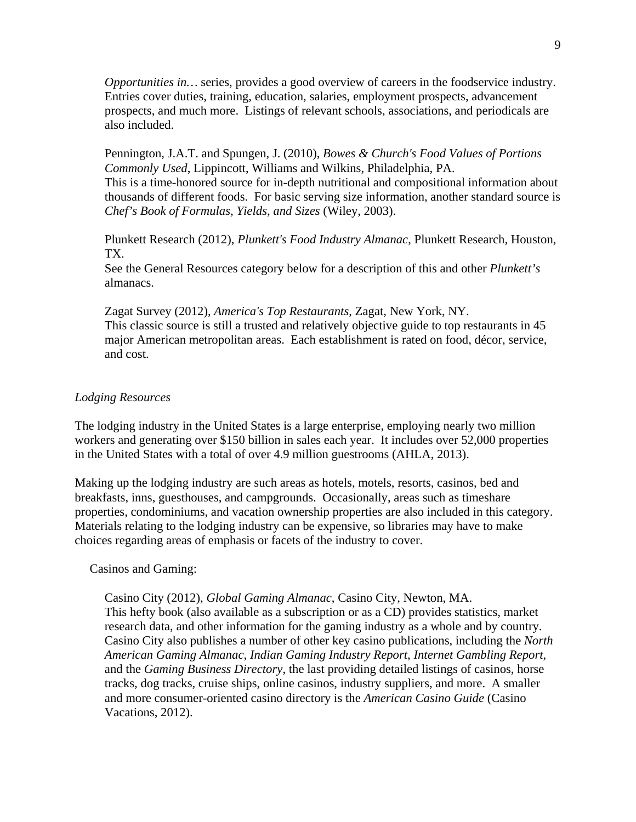*Opportunities in…* series, provides a good overview of careers in the foodservice industry. Entries cover duties, training, education, salaries, employment prospects, advancement prospects, and much more. Listings of relevant schools, associations, and periodicals are also included.

Pennington, J.A.T. and Spungen, J. (2010), *Bowes & Church's Food Values of Portions Commonly Used*, Lippincott, Williams and Wilkins, Philadelphia, PA. This is a time-honored source for in-depth nutritional and compositional information about thousands of different foods. For basic serving size information, another standard source is *Chef's Book of Formulas, Yields, and Sizes* (Wiley, 2003).

Plunkett Research (2012), *Plunkett's Food Industry Almanac*, Plunkett Research, Houston, TX.

See the General Resources category below for a description of this and other *Plunkett's* almanacs.

Zagat Survey (2012), *America's Top Restaurants*, Zagat, New York, NY. This classic source is still a trusted and relatively objective guide to top restaurants in 45 major American metropolitan areas. Each establishment is rated on food, décor, service, and cost.

#### *Lodging Resources*

The lodging industry in the United States is a large enterprise, employing nearly two million workers and generating over \$150 billion in sales each year. It includes over 52,000 properties in the United States with a total of over 4.9 million guestrooms (AHLA, 2013).

Making up the lodging industry are such areas as hotels, motels, resorts, casinos, bed and breakfasts, inns, guesthouses, and campgrounds. Occasionally, areas such as timeshare properties, condominiums, and vacation ownership properties are also included in this category. Materials relating to the lodging industry can be expensive, so libraries may have to make choices regarding areas of emphasis or facets of the industry to cover.

Casinos and Gaming:

Casino City (2012), *Global Gaming Almanac*, Casino City, Newton, MA. This hefty book (also available as a subscription or as a CD) provides statistics, market research data, and other information for the gaming industry as a whole and by country. Casino City also publishes a number of other key casino publications, including the *North American Gaming Almanac*, *Indian Gaming Industry Report*, *Internet Gambling Report*, and the *Gaming Business Directory*, the last providing detailed listings of casinos, horse tracks, dog tracks, cruise ships, online casinos, industry suppliers, and more. A smaller and more consumer-oriented casino directory is the *American Casino Guide* (Casino Vacations, 2012).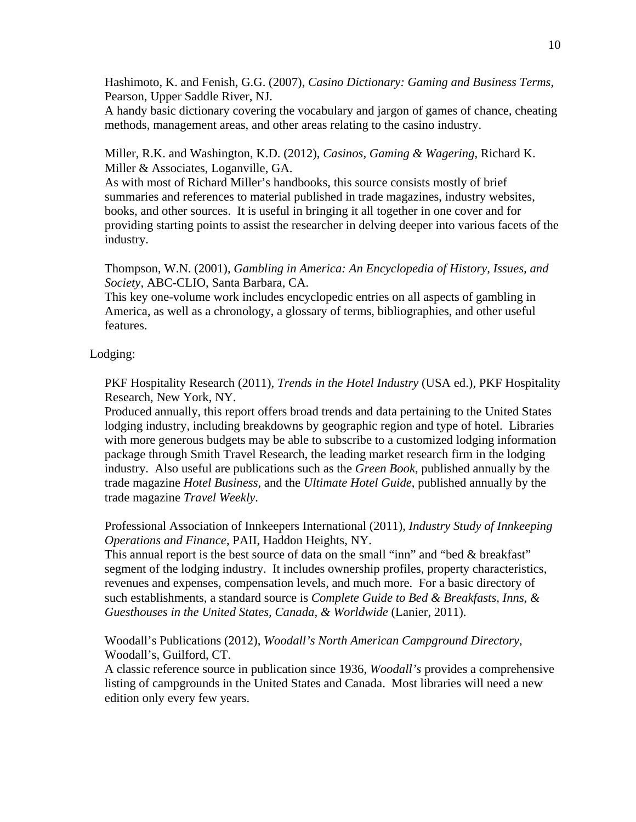Hashimoto, K. and Fenish, G.G. (2007), *Casino Dictionary: Gaming and Business Terms*, Pearson, Upper Saddle River, NJ.

A handy basic dictionary covering the vocabulary and jargon of games of chance, cheating methods, management areas, and other areas relating to the casino industry.

Miller, R.K. and Washington, K.D. (2012), *Casinos, Gaming & Wagering*, Richard K. Miller & Associates, Loganville, GA.

As with most of Richard Miller's handbooks, this source consists mostly of brief summaries and references to material published in trade magazines, industry websites, books, and other sources. It is useful in bringing it all together in one cover and for providing starting points to assist the researcher in delving deeper into various facets of the industry.

Thompson, W.N. (2001), *Gambling in America: An Encyclopedia of History, Issues, and Society*, ABC-CLIO, Santa Barbara, CA.

This key one-volume work includes encyclopedic entries on all aspects of gambling in America, as well as a chronology, a glossary of terms, bibliographies, and other useful features.

#### Lodging:

PKF Hospitality Research (2011), *Trends in the Hotel Industry* (USA ed.), PKF Hospitality Research, New York, NY.

Produced annually, this report offers broad trends and data pertaining to the United States lodging industry, including breakdowns by geographic region and type of hotel. Libraries with more generous budgets may be able to subscribe to a customized lodging information package through Smith Travel Research, the leading market research firm in the lodging industry. Also useful are publications such as the *Green Book*, published annually by the trade magazine *Hotel Business*, and the *Ultimate Hotel Guide*, published annually by the trade magazine *Travel Weekly*.

Professional Association of Innkeepers International (2011), *Industry Study of Innkeeping Operations and Finance*, PAII, Haddon Heights, NY.

This annual report is the best source of data on the small "inn" and "bed & breakfast" segment of the lodging industry. It includes ownership profiles, property characteristics, revenues and expenses, compensation levels, and much more. For a basic directory of such establishments, a standard source is *Complete Guide to Bed & Breakfasts, Inns, & Guesthouses in the United States, Canada, & Worldwide* (Lanier, 2011).

Woodall's Publications (2012), *Woodall's North American Campground Directory*, Woodall's, Guilford, CT.

A classic reference source in publication since 1936, *Woodall's* provides a comprehensive listing of campgrounds in the United States and Canada. Most libraries will need a new edition only every few years.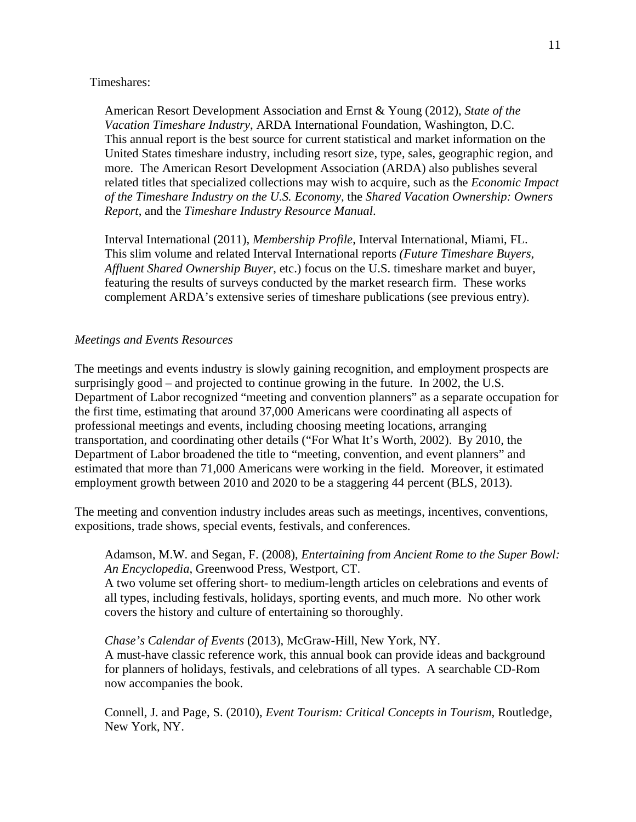#### Timeshares:

American Resort Development Association and Ernst & Young (2012), *State of the Vacation Timeshare Industry*, ARDA International Foundation, Washington, D.C. This annual report is the best source for current statistical and market information on the United States timeshare industry, including resort size, type, sales, geographic region, and more. The American Resort Development Association (ARDA) also publishes several related titles that specialized collections may wish to acquire, such as the *Economic Impact of the Timeshare Industry on the U.S. Economy*, the *Shared Vacation Ownership: Owners Report*, and the *Timeshare Industry Resource Manual*.

Interval International (2011), *Membership Profile*, Interval International, Miami, FL. This slim volume and related Interval International reports *(Future Timeshare Buyers*, *Affluent Shared Ownership Buyer*, etc.) focus on the U.S. timeshare market and buyer, featuring the results of surveys conducted by the market research firm. These works complement ARDA's extensive series of timeshare publications (see previous entry).

#### *Meetings and Events Resources*

The meetings and events industry is slowly gaining recognition, and employment prospects are surprisingly good – and projected to continue growing in the future. In 2002, the U.S. Department of Labor recognized "meeting and convention planners" as a separate occupation for the first time, estimating that around 37,000 Americans were coordinating all aspects of professional meetings and events, including choosing meeting locations, arranging transportation, and coordinating other details ("For What It's Worth, 2002). By 2010, the Department of Labor broadened the title to "meeting, convention, and event planners" and estimated that more than 71,000 Americans were working in the field. Moreover, it estimated employment growth between 2010 and 2020 to be a staggering 44 percent (BLS, 2013).

The meeting and convention industry includes areas such as meetings, incentives, conventions, expositions, trade shows, special events, festivals, and conferences.

#### Adamson, M.W. and Segan, F. (2008), *Entertaining from Ancient Rome to the Super Bowl: An Encyclopedia*, Greenwood Press, Westport, CT.

A two volume set offering short- to medium-length articles on celebrations and events of all types, including festivals, holidays, sporting events, and much more. No other work covers the history and culture of entertaining so thoroughly.

#### *Chase's Calendar of Events* (2013), McGraw-Hill, New York, NY.

A must-have classic reference work, this annual book can provide ideas and background for planners of holidays, festivals, and celebrations of all types. A searchable CD-Rom now accompanies the book.

Connell, J. and Page, S. (2010), *Event Tourism: Critical Concepts in Tourism*, Routledge, New York, NY.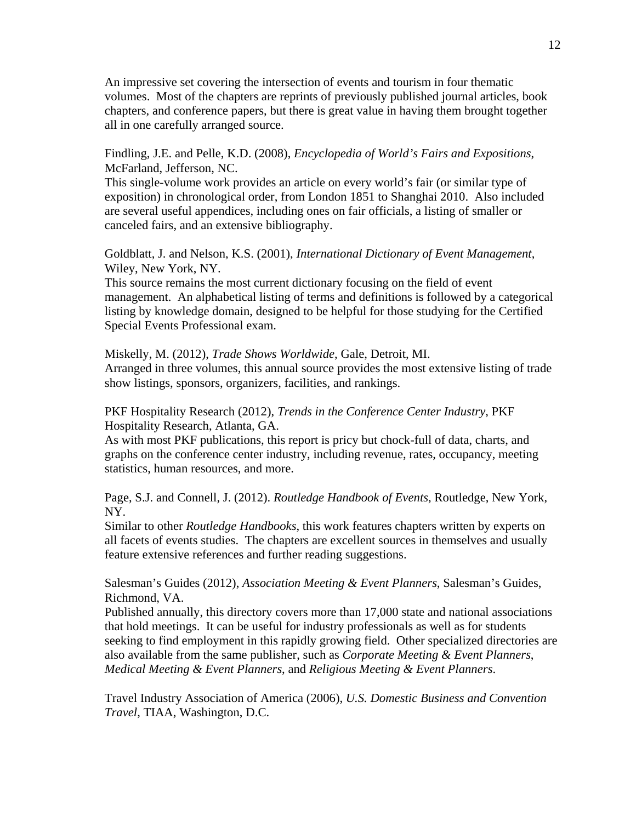An impressive set covering the intersection of events and tourism in four thematic volumes. Most of the chapters are reprints of previously published journal articles, book chapters, and conference papers, but there is great value in having them brought together all in one carefully arranged source.

Findling, J.E. and Pelle, K.D. (2008), *Encyclopedia of World's Fairs and Expositions*, McFarland, Jefferson, NC.

This single-volume work provides an article on every world's fair (or similar type of exposition) in chronological order, from London 1851 to Shanghai 2010. Also included are several useful appendices, including ones on fair officials, a listing of smaller or canceled fairs, and an extensive bibliography.

Goldblatt, J. and Nelson, K.S. (2001), *International Dictionary of Event Management*, Wiley, New York, NY.

This source remains the most current dictionary focusing on the field of event management. An alphabetical listing of terms and definitions is followed by a categorical listing by knowledge domain, designed to be helpful for those studying for the Certified Special Events Professional exam.

Miskelly, M. (2012), *Trade Shows Worldwide*, Gale, Detroit, MI. Arranged in three volumes, this annual source provides the most extensive listing of trade show listings, sponsors, organizers, facilities, and rankings.

## PKF Hospitality Research (2012), *Trends in the Conference Center Industry*, PKF Hospitality Research, Atlanta, GA.

As with most PKF publications, this report is pricy but chock-full of data, charts, and graphs on the conference center industry, including revenue, rates, occupancy, meeting statistics, human resources, and more.

Page, S.J. and Connell, J. (2012). *Routledge Handbook of Events*, Routledge, New York, NY.

Similar to other *Routledge Handbooks*, this work features chapters written by experts on all facets of events studies. The chapters are excellent sources in themselves and usually feature extensive references and further reading suggestions.

Salesman's Guides (2012), *Association Meeting & Event Planners*, Salesman's Guides, Richmond, VA.

Published annually, this directory covers more than 17,000 state and national associations that hold meetings. It can be useful for industry professionals as well as for students seeking to find employment in this rapidly growing field. Other specialized directories are also available from the same publisher, such as *Corporate Meeting & Event Planners*, *Medical Meeting & Event Planners*, and *Religious Meeting & Event Planners*.

Travel Industry Association of America (2006), *U.S. Domestic Business and Convention Travel*, TIAA, Washington, D.C.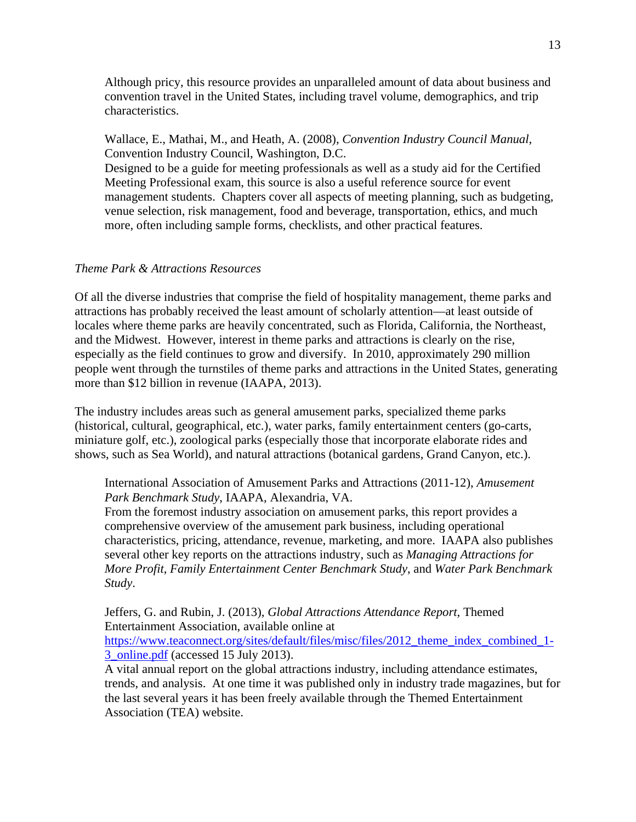Although pricy, this resource provides an unparalleled amount of data about business and convention travel in the United States, including travel volume, demographics, and trip characteristics.

Wallace, E., Mathai, M., and Heath, A. (2008), *Convention Industry Council Manual*, Convention Industry Council, Washington, D.C.

Designed to be a guide for meeting professionals as well as a study aid for the Certified Meeting Professional exam, this source is also a useful reference source for event management students. Chapters cover all aspects of meeting planning, such as budgeting, venue selection, risk management, food and beverage, transportation, ethics, and much more, often including sample forms, checklists, and other practical features.

# *Theme Park & Attractions Resources*

Of all the diverse industries that comprise the field of hospitality management, theme parks and attractions has probably received the least amount of scholarly attention—at least outside of locales where theme parks are heavily concentrated, such as Florida, California, the Northeast, and the Midwest. However, interest in theme parks and attractions is clearly on the rise, especially as the field continues to grow and diversify. In 2010, approximately 290 million people went through the turnstiles of theme parks and attractions in the United States, generating more than \$12 billion in revenue (IAAPA, 2013).

The industry includes areas such as general amusement parks, specialized theme parks (historical, cultural, geographical, etc.), water parks, family entertainment centers (go-carts, miniature golf, etc.), zoological parks (especially those that incorporate elaborate rides and shows, such as Sea World), and natural attractions (botanical gardens, Grand Canyon, etc.).

International Association of Amusement Parks and Attractions (2011-12), *Amusement Park Benchmark Study*, IAAPA, Alexandria, VA.

From the foremost industry association on amusement parks, this report provides a comprehensive overview of the amusement park business, including operational characteristics, pricing, attendance, revenue, marketing, and more. IAAPA also publishes several other key reports on the attractions industry, such as *Managing Attractions for More Profit*, *Family Entertainment Center Benchmark Study*, and *Water Park Benchmark Study*.

Jeffers, G. and Rubin, J. (2013), *Global Attractions Attendance Report*, Themed Entertainment Association, available online at https://www.teaconnect.org/sites/default/files/misc/files/2012\_theme\_index\_combined\_1- 3\_online.pdf (accessed 15 July 2013).

A vital annual report on the global attractions industry, including attendance estimates, trends, and analysis. At one time it was published only in industry trade magazines, but for the last several years it has been freely available through the Themed Entertainment Association (TEA) website.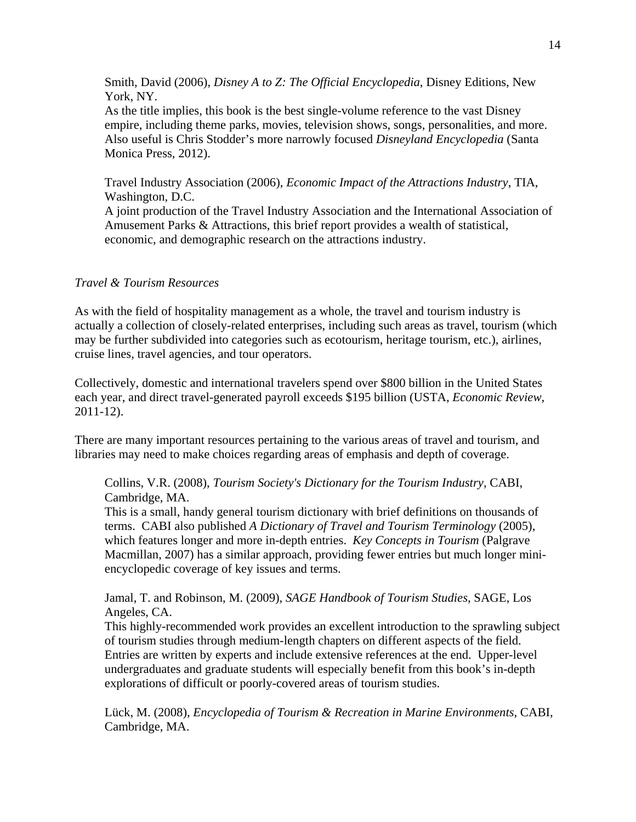Smith, David (2006), *Disney A to Z: The Official Encyclopedia*, Disney Editions, New York, NY.

As the title implies, this book is the best single-volume reference to the vast Disney empire, including theme parks, movies, television shows, songs, personalities, and more. Also useful is Chris Stodder's more narrowly focused *Disneyland Encyclopedia* (Santa Monica Press, 2012).

Travel Industry Association (2006), *Economic Impact of the Attractions Industry*, TIA, Washington, D.C.

A joint production of the Travel Industry Association and the International Association of Amusement Parks & Attractions, this brief report provides a wealth of statistical, economic, and demographic research on the attractions industry.

## *Travel & Tourism Resources*

As with the field of hospitality management as a whole, the travel and tourism industry is actually a collection of closely-related enterprises, including such areas as travel, tourism (which may be further subdivided into categories such as ecotourism, heritage tourism, etc.), airlines, cruise lines, travel agencies, and tour operators.

Collectively, domestic and international travelers spend over \$800 billion in the United States each year, and direct travel-generated payroll exceeds \$195 billion (USTA, *Economic Review*, 2011-12).

There are many important resources pertaining to the various areas of travel and tourism, and libraries may need to make choices regarding areas of emphasis and depth of coverage.

Collins, V.R. (2008), *Tourism Society's Dictionary for the Tourism Industry*, CABI, Cambridge, MA.

This is a small, handy general tourism dictionary with brief definitions on thousands of terms. CABI also published *A Dictionary of Travel and Tourism Terminology* (2005), which features longer and more in-depth entries. *Key Concepts in Tourism* (Palgrave Macmillan, 2007) has a similar approach, providing fewer entries but much longer miniencyclopedic coverage of key issues and terms.

Jamal, T. and Robinson, M. (2009), *SAGE Handbook of Tourism Studies*, SAGE, Los Angeles, CA.

This highly-recommended work provides an excellent introduction to the sprawling subject of tourism studies through medium-length chapters on different aspects of the field. Entries are written by experts and include extensive references at the end. Upper-level undergraduates and graduate students will especially benefit from this book's in-depth explorations of difficult or poorly-covered areas of tourism studies.

Lück, M. (2008), *Encyclopedia of Tourism & Recreation in Marine Environments*, CABI, Cambridge, MA.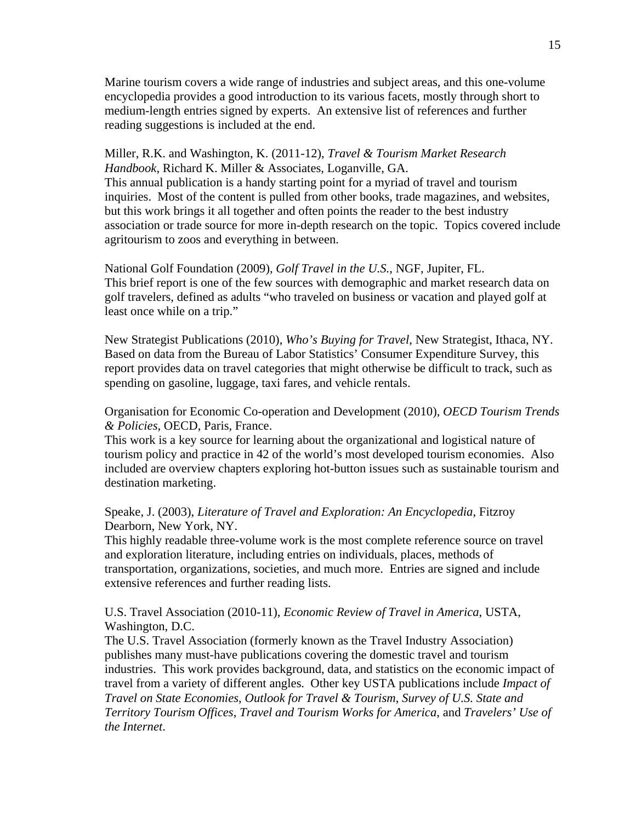Marine tourism covers a wide range of industries and subject areas, and this one-volume encyclopedia provides a good introduction to its various facets, mostly through short to medium-length entries signed by experts. An extensive list of references and further reading suggestions is included at the end.

Miller, R.K. and Washington, K. (2011-12), *Travel & Tourism Market Research Handbook*, Richard K. Miller & Associates, Loganville, GA. This annual publication is a handy starting point for a myriad of travel and tourism inquiries. Most of the content is pulled from other books, trade magazines, and websites, but this work brings it all together and often points the reader to the best industry association or trade source for more in-depth research on the topic. Topics covered include agritourism to zoos and everything in between.

National Golf Foundation (2009), *Golf Travel in the U.S.*, NGF, Jupiter, FL. This brief report is one of the few sources with demographic and market research data on golf travelers, defined as adults "who traveled on business or vacation and played golf at least once while on a trip."

New Strategist Publications (2010), *Who's Buying for Travel*, New Strategist, Ithaca, NY. Based on data from the Bureau of Labor Statistics' Consumer Expenditure Survey, this report provides data on travel categories that might otherwise be difficult to track, such as spending on gasoline, luggage, taxi fares, and vehicle rentals.

Organisation for Economic Co-operation and Development (2010), *OECD Tourism Trends & Policies*, OECD, Paris, France.

This work is a key source for learning about the organizational and logistical nature of tourism policy and practice in 42 of the world's most developed tourism economies. Also included are overview chapters exploring hot-button issues such as sustainable tourism and destination marketing.

Speake, J. (2003), *Literature of Travel and Exploration: An Encyclopedia*, Fitzroy Dearborn, New York, NY.

This highly readable three-volume work is the most complete reference source on travel and exploration literature, including entries on individuals, places, methods of transportation, organizations, societies, and much more. Entries are signed and include extensive references and further reading lists.

U.S. Travel Association (2010-11), *Economic Review of Travel in America*, USTA, Washington, D.C.

The U.S. Travel Association (formerly known as the Travel Industry Association) publishes many must-have publications covering the domestic travel and tourism industries. This work provides background, data, and statistics on the economic impact of travel from a variety of different angles. Other key USTA publications include *Impact of Travel on State Economies*, *Outlook for Travel & Tourism*, *Survey of U.S. State and Territory Tourism Offices*, *Travel and Tourism Works for America*, and *Travelers' Use of the Internet*.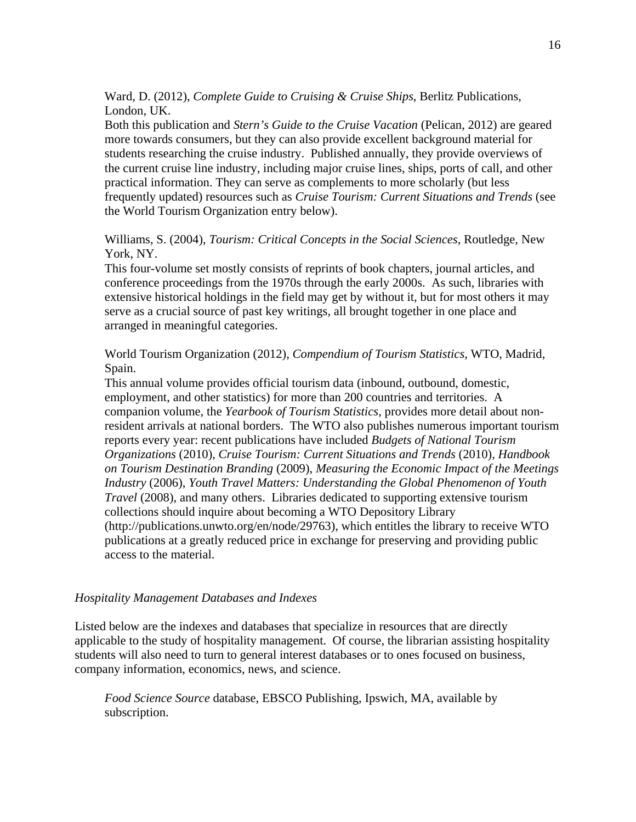Ward, D. (2012), *Complete Guide to Cruising & Cruise Ships*, Berlitz Publications, London, UK.

Both this publication and *Stern's Guide to the Cruise Vacation* (Pelican, 2012) are geared more towards consumers, but they can also provide excellent background material for students researching the cruise industry. Published annually, they provide overviews of the current cruise line industry, including major cruise lines, ships, ports of call, and other practical information. They can serve as complements to more scholarly (but less frequently updated) resources such as *Cruise Tourism: Current Situations and Trends* (see the World Tourism Organization entry below).

Williams, S. (2004), *Tourism: Critical Concepts in the Social Sciences*, Routledge, New York, NY.

This four-volume set mostly consists of reprints of book chapters, journal articles, and conference proceedings from the 1970s through the early 2000s. As such, libraries with extensive historical holdings in the field may get by without it, but for most others it may serve as a crucial source of past key writings, all brought together in one place and arranged in meaningful categories.

World Tourism Organization (2012), *Compendium of Tourism Statistics*, WTO, Madrid, Spain.

This annual volume provides official tourism data (inbound, outbound, domestic, employment, and other statistics) for more than 200 countries and territories. A companion volume, the *Yearbook of Tourism Statistics*, provides more detail about nonresident arrivals at national borders. The WTO also publishes numerous important tourism reports every year: recent publications have included *Budgets of National Tourism Organizations* (2010), *Cruise Tourism: Current Situations and Trends* (2010), *Handbook on Tourism Destination Branding* (2009), *Measuring the Economic Impact of the Meetings Industry* (2006), *Youth Travel Matters: Understanding the Global Phenomenon of Youth Travel* (2008), and many others. Libraries dedicated to supporting extensive tourism collections should inquire about becoming a WTO Depository Library (http://publications.unwto.org/en/node/29763), which entitles the library to receive WTO publications at a greatly reduced price in exchange for preserving and providing public access to the material.

#### *Hospitality Management Databases and Indexes*

Listed below are the indexes and databases that specialize in resources that are directly applicable to the study of hospitality management. Of course, the librarian assisting hospitality students will also need to turn to general interest databases or to ones focused on business, company information, economics, news, and science.

*Food Science Source* database, EBSCO Publishing, Ipswich, MA, available by subscription.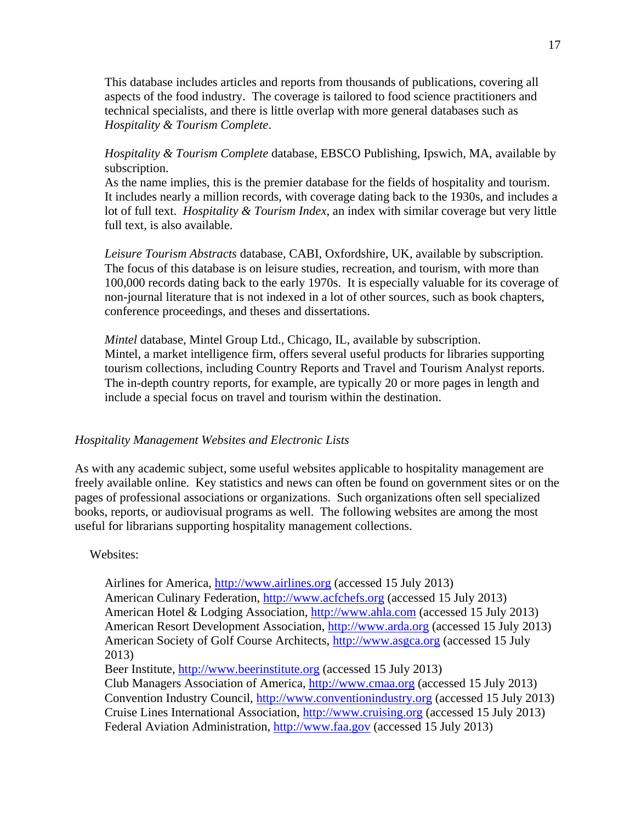This database includes articles and reports from thousands of publications, covering all aspects of the food industry. The coverage is tailored to food science practitioners and technical specialists, and there is little overlap with more general databases such as *Hospitality & Tourism Complete*.

# *Hospitality & Tourism Complete* database, EBSCO Publishing, Ipswich, MA, available by subscription.

As the name implies, this is the premier database for the fields of hospitality and tourism. It includes nearly a million records, with coverage dating back to the 1930s, and includes a lot of full text. *Hospitality & Tourism Index*, an index with similar coverage but very little full text, is also available.

*Leisure Tourism Abstracts* database, CABI, Oxfordshire, UK, available by subscription. The focus of this database is on leisure studies, recreation, and tourism, with more than 100,000 records dating back to the early 1970s. It is especially valuable for its coverage of non-journal literature that is not indexed in a lot of other sources, such as book chapters, conference proceedings, and theses and dissertations.

*Mintel* database, Mintel Group Ltd., Chicago, IL, available by subscription. Mintel, a market intelligence firm, offers several useful products for libraries supporting tourism collections, including Country Reports and Travel and Tourism Analyst reports. The in-depth country reports, for example, are typically 20 or more pages in length and include a special focus on travel and tourism within the destination.

#### *Hospitality Management Websites and Electronic Lists*

As with any academic subject, some useful websites applicable to hospitality management are freely available online. Key statistics and news can often be found on government sites or on the pages of professional associations or organizations. Such organizations often sell specialized books, reports, or audiovisual programs as well. The following websites are among the most useful for librarians supporting hospitality management collections.

Websites:

Airlines for America, http://www.airlines.org (accessed 15 July 2013) American Culinary Federation, http://www.acfchefs.org (accessed 15 July 2013) American Hotel & Lodging Association, http://www.ahla.com (accessed 15 July 2013) American Resort Development Association, http://www.arda.org (accessed 15 July 2013) American Society of Golf Course Architects, http://www.asgca.org (accessed 15 July 2013) Beer Institute, http://www.beerinstitute.org (accessed 15 July 2013) Club Managers Association of America, http://www.cmaa.org (accessed 15 July 2013) Convention Industry Council, http://www.conventionindustry.org (accessed 15 July 2013)

Cruise Lines International Association, http://www.cruising.org (accessed 15 July 2013) Federal Aviation Administration, http://www.faa.gov (accessed 15 July 2013)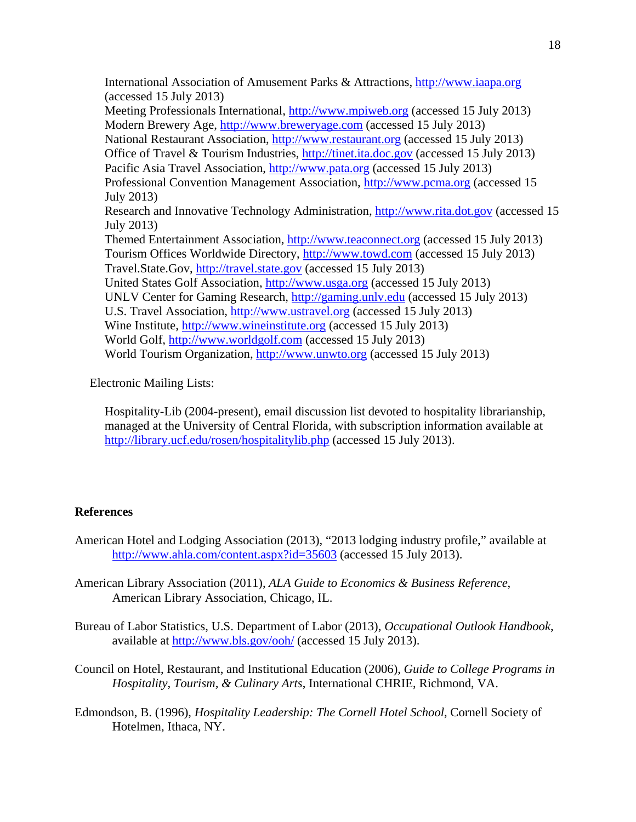International Association of Amusement Parks & Attractions, http://www.iaapa.org (accessed 15 July 2013) Meeting Professionals International, http://www.mpiweb.org (accessed 15 July 2013) Modern Brewery Age, http://www.breweryage.com (accessed 15 July 2013) National Restaurant Association, http://www.restaurant.org (accessed 15 July 2013) Office of Travel & Tourism Industries, http://tinet.ita.doc.gov (accessed 15 July 2013) Pacific Asia Travel Association, http://www.pata.org (accessed 15 July 2013) Professional Convention Management Association, http://www.pcma.org (accessed 15 July 2013) Research and Innovative Technology Administration, http://www.rita.dot.gov (accessed 15 July 2013) Themed Entertainment Association, http://www.teaconnect.org (accessed 15 July 2013) Tourism Offices Worldwide Directory, http://www.towd.com (accessed 15 July 2013) Travel.State.Gov, http://travel.state.gov (accessed 15 July 2013) United States Golf Association, http://www.usga.org (accessed 15 July 2013) UNLV Center for Gaming Research, http://gaming.unlv.edu (accessed 15 July 2013) U.S. Travel Association, http://www.ustravel.org (accessed 15 July 2013) Wine Institute, http://www.wineinstitute.org (accessed 15 July 2013) World Golf, http://www.worldgolf.com (accessed 15 July 2013) World Tourism Organization, http://www.unwto.org (accessed 15 July 2013)

Electronic Mailing Lists:

Hospitality-Lib (2004-present), email discussion list devoted to hospitality librarianship, managed at the University of Central Florida, with subscription information available at http://library.ucf.edu/rosen/hospitalitylib.php (accessed 15 July 2013).

## **References**

- American Hotel and Lodging Association (2013), "2013 lodging industry profile," available at http://www.ahla.com/content.aspx?id=35603 (accessed 15 July 2013).
- American Library Association (2011), *ALA Guide to Economics & Business Reference*, American Library Association, Chicago, IL.
- Bureau of Labor Statistics, U.S. Department of Labor (2013), *Occupational Outlook Handbook*, available at http://www.bls.gov/ooh/ (accessed 15 July 2013).
- Council on Hotel, Restaurant, and Institutional Education (2006), *Guide to College Programs in Hospitality, Tourism, & Culinary Arts*, International CHRIE, Richmond, VA.
- Edmondson, B. (1996), *Hospitality Leadership: The Cornell Hotel School*, Cornell Society of Hotelmen, Ithaca, NY.